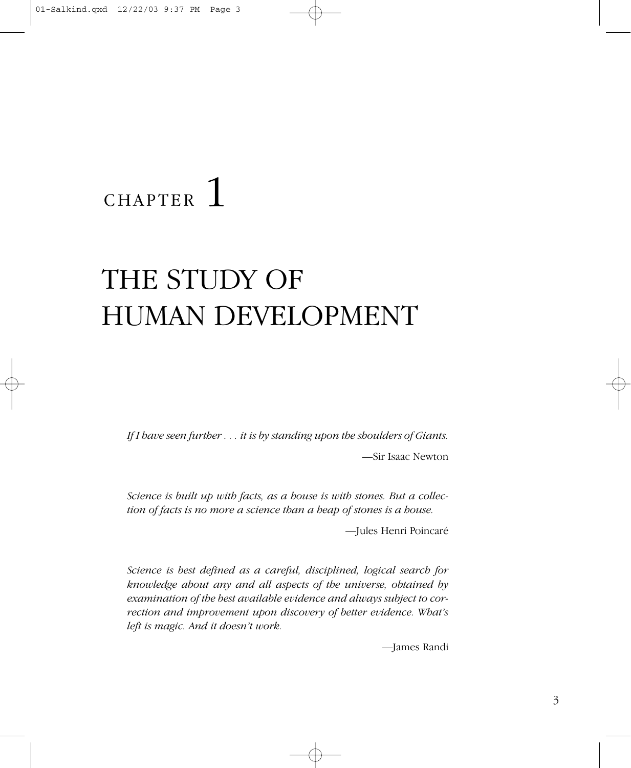# 1 CHAPTER

# THE STUDY OF HUMAN DEVELOPMENT

*If I have seen further . . . it is by standing upon the shoulders of Giants.*

—Sir Isaac Newton

*Science is built up with facts, as a house is with stones. But a collection of facts is no more a science than a heap of stones is a house.*

—Jules Henri Poincaré

*Science is best defined as a careful, disciplined, logical search for knowledge about any and all aspects of the universe, obtained by examination of the best available evidence and always subject to correction and improvement upon discovery of better evidence. What's left is magic. And it doesn't work.*

—James Randi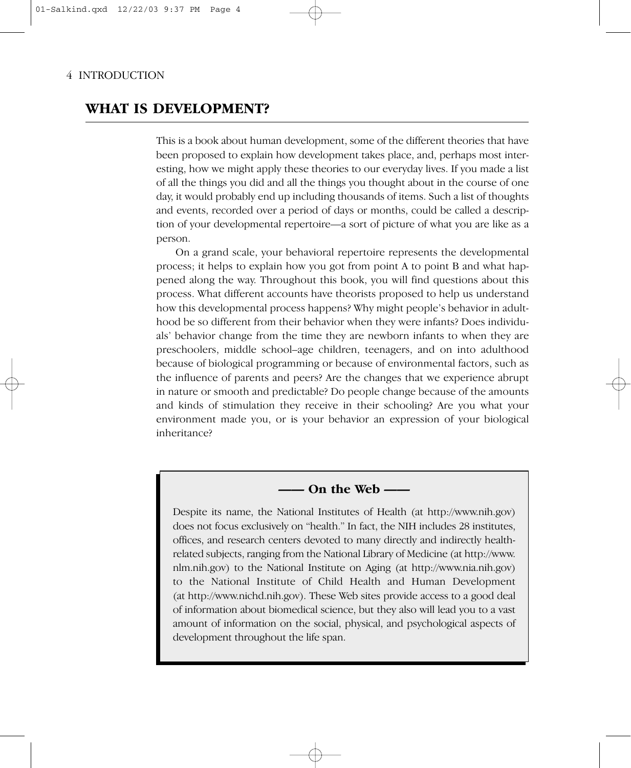01-Salkind.qxd 12/22/03 9:37 PM

#### 4 INTRODUCTION

# **WHAT IS DEVELOPMENT?**

This is a book about human development, some of the different theories that have been proposed to explain how development takes place, and, perhaps most interesting, how we might apply these theories to our everyday lives. If you made a list of all the things you did and all the things you thought about in the course of one day, it would probably end up including thousands of items. Such a list of thoughts and events, recorded over a period of days or months, could be called a description of your developmental repertoire—a sort of picture of what you are like as a person.

On a grand scale, your behavioral repertoire represents the developmental process; it helps to explain how you got from point A to point B and what happened along the way. Throughout this book, you will find questions about this process. What different accounts have theorists proposed to help us understand how this developmental process happens? Why might people's behavior in adulthood be so different from their behavior when they were infants? Does individuals' behavior change from the time they are newborn infants to when they are preschoolers, middle school–age children, teenagers, and on into adulthood because of biological programming or because of environmental factors, such as the influence of parents and peers? Are the changes that we experience abrupt in nature or smooth and predictable? Do people change because of the amounts and kinds of stimulation they receive in their schooling? Are you what your environment made you, or is your behavior an expression of your biological inheritance?



Despite its name, the National Institutes of Health (at http://www.nih.gov) does not focus exclusively on "health." In fact, the NIH includes 28 institutes, offices, and research centers devoted to many directly and indirectly healthrelated subjects, ranging from the National Library of Medicine (at http://www. nlm.nih.gov) to the National Institute on Aging (at http://www.nia.nih.gov) to the National Institute of Child Health and Human Development (at http://www.nichd.nih.gov). These Web sites provide access to a good deal of information about biomedical science, but they also will lead you to a vast amount of information on the social, physical, and psychological aspects of development throughout the life span.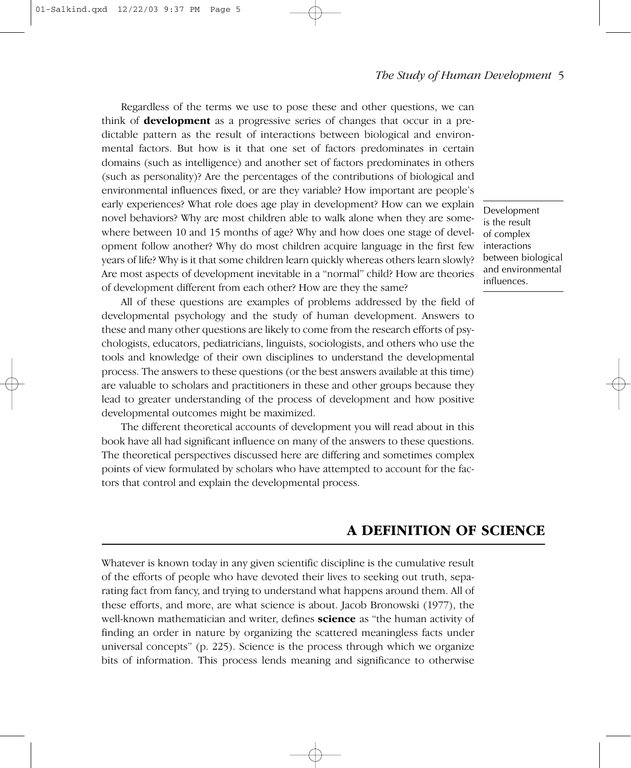Regardless of the terms we use to pose these and other questions, we can think of **development** as a progressive series of changes that occur in a predictable pattern as the result of interactions between biological and environmental factors. But how is it that one set of factors predominates in certain domains (such as intelligence) and another set of factors predominates in others (such as personality)? Are the percentages of the contributions of biological and environmental influences fixed, or are they variable? How important are people's early experiences? What role does age play in development? How can we explain novel behaviors? Why are most children able to walk alone when they are somewhere between 10 and 15 months of age? Why and how does one stage of development follow another? Why do most children acquire language in the first few years of life? Why is it that some children learn quickly whereas others learn slowly? Are most aspects of development inevitable in a "normal" child? How are theories of development different from each other? How are they the same?

All of these questions are examples of problems addressed by the field of developmental psychology and the study of human development. Answers to these and many other questions are likely to come from the research efforts of psychologists, educators, pediatricians, linguists, sociologists, and others who use the tools and knowledge of their own disciplines to understand the developmental process. The answers to these questions (or the best answers available at this time) are valuable to scholars and practitioners in these and other groups because they lead to greater understanding of the process of development and how positive developmental outcomes might be maximized.

The different theoretical accounts of development you will read about in this book have all had significant influence on many of the answers to these questions. The theoretical perspectives discussed here are differing and sometimes complex points of view formulated by scholars who have attempted to account for the factors that control and explain the developmental process.

Development is the result of complex interactions between biological and environmental influences.

# **A DEFINITION OF SCIENCE**

Whatever is known today in any given scientific discipline is the cumulative result of the efforts of people who have devoted their lives to seeking out truth, separating fact from fancy, and trying to understand what happens around them. All of these efforts, and more, are what science is about. Jacob Bronowski (1977), the well-known mathematician and writer, defines **science** as "the human activity of finding an order in nature by organizing the scattered meaningless facts under universal concepts" (p. 225). Science is the process through which we organize bits of information. This process lends meaning and significance to otherwise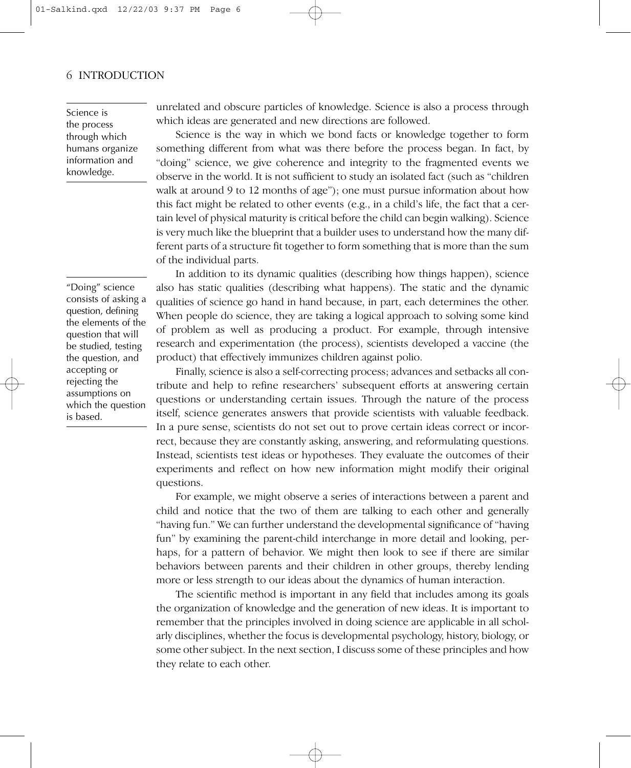Science is the process through which humans organize information and knowledge.

"Doing" science consists of asking a question, defining the elements of the question that will be studied, testing the question, and accepting or rejecting the assumptions on which the question is based.

unrelated and obscure particles of knowledge. Science is also a process through which ideas are generated and new directions are followed.

Science is the way in which we bond facts or knowledge together to form something different from what was there before the process began. In fact, by "doing" science, we give coherence and integrity to the fragmented events we observe in the world. It is not sufficient to study an isolated fact (such as "children walk at around 9 to 12 months of age"); one must pursue information about how this fact might be related to other events (e.g., in a child's life, the fact that a certain level of physical maturity is critical before the child can begin walking). Science is very much like the blueprint that a builder uses to understand how the many different parts of a structure fit together to form something that is more than the sum of the individual parts.

In addition to its dynamic qualities (describing how things happen), science also has static qualities (describing what happens). The static and the dynamic qualities of science go hand in hand because, in part, each determines the other. When people do science, they are taking a logical approach to solving some kind of problem as well as producing a product. For example, through intensive research and experimentation (the process), scientists developed a vaccine (the product) that effectively immunizes children against polio.

Finally, science is also a self-correcting process; advances and setbacks all contribute and help to refine researchers' subsequent efforts at answering certain questions or understanding certain issues. Through the nature of the process itself, science generates answers that provide scientists with valuable feedback. In a pure sense, scientists do not set out to prove certain ideas correct or incorrect, because they are constantly asking, answering, and reformulating questions. Instead, scientists test ideas or hypotheses. They evaluate the outcomes of their experiments and reflect on how new information might modify their original questions.

For example, we might observe a series of interactions between a parent and child and notice that the two of them are talking to each other and generally "having fun." We can further understand the developmental significance of "having fun" by examining the parent-child interchange in more detail and looking, perhaps, for a pattern of behavior. We might then look to see if there are similar behaviors between parents and their children in other groups, thereby lending more or less strength to our ideas about the dynamics of human interaction.

The scientific method is important in any field that includes among its goals the organization of knowledge and the generation of new ideas. It is important to remember that the principles involved in doing science are applicable in all scholarly disciplines, whether the focus is developmental psychology, history, biology, or some other subject. In the next section, I discuss some of these principles and how they relate to each other.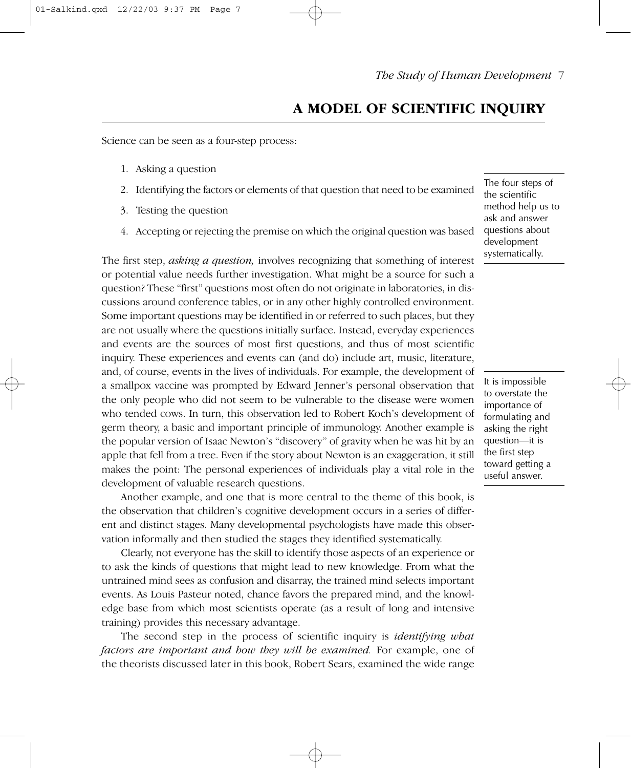# **A MODEL OF SCIENTIFIC INQUIRY**

Science can be seen as a four-step process:

- 1. Asking a question
- 2. Identifying the factors or elements of that question that need to be examined
- 3. Testing the question
- 4. Accepting or rejecting the premise on which the original question was based

The first step, *asking a question,* involves recognizing that something of interest or potential value needs further investigation. What might be a source for such a question? These "first" questions most often do not originate in laboratories, in discussions around conference tables, or in any other highly controlled environment. Some important questions may be identified in or referred to such places, but they are not usually where the questions initially surface. Instead, everyday experiences and events are the sources of most first questions, and thus of most scientific inquiry. These experiences and events can (and do) include art, music, literature, and, of course, events in the lives of individuals. For example, the development of a smallpox vaccine was prompted by Edward Jenner's personal observation that the only people who did not seem to be vulnerable to the disease were women who tended cows. In turn, this observation led to Robert Koch's development of germ theory, a basic and important principle of immunology. Another example is the popular version of Isaac Newton's "discovery" of gravity when he was hit by an apple that fell from a tree. Even if the story about Newton is an exaggeration, it still makes the point: The personal experiences of individuals play a vital role in the development of valuable research questions.

Another example, and one that is more central to the theme of this book, is the observation that children's cognitive development occurs in a series of different and distinct stages. Many developmental psychologists have made this observation informally and then studied the stages they identified systematically.

Clearly, not everyone has the skill to identify those aspects of an experience or to ask the kinds of questions that might lead to new knowledge. From what the untrained mind sees as confusion and disarray, the trained mind selects important events. As Louis Pasteur noted, chance favors the prepared mind, and the knowledge base from which most scientists operate (as a result of long and intensive training) provides this necessary advantage.

The second step in the process of scientific inquiry is *identifying what factors are important and how they will be examined.* For example, one of the theorists discussed later in this book, Robert Sears, examined the wide range

The four steps of the scientific method help us to ask and answer questions about development systematically.

It is impossible to overstate the importance of formulating and asking the right question—it is the first step toward getting a useful answer.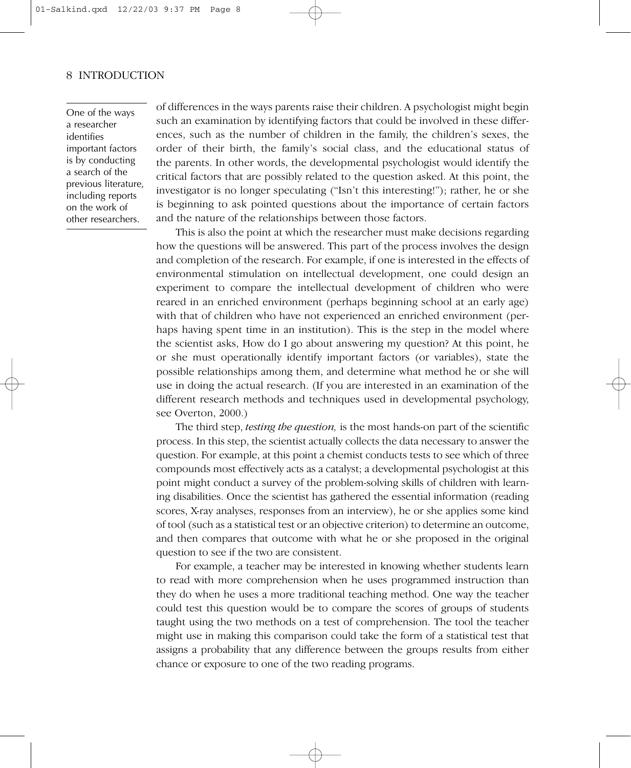One of the ways a researcher identifies important factors is by conducting a search of the previous literature, including reports on the work of other researchers.

of differences in the ways parents raise their children. A psychologist might begin such an examination by identifying factors that could be involved in these differences, such as the number of children in the family, the children's sexes, the order of their birth, the family's social class, and the educational status of the parents. In other words, the developmental psychologist would identify the critical factors that are possibly related to the question asked. At this point, the investigator is no longer speculating ("Isn't this interesting!"); rather, he or she is beginning to ask pointed questions about the importance of certain factors and the nature of the relationships between those factors.

This is also the point at which the researcher must make decisions regarding how the questions will be answered. This part of the process involves the design and completion of the research. For example, if one is interested in the effects of environmental stimulation on intellectual development, one could design an experiment to compare the intellectual development of children who were reared in an enriched environment (perhaps beginning school at an early age) with that of children who have not experienced an enriched environment (perhaps having spent time in an institution). This is the step in the model where the scientist asks, How do I go about answering my question? At this point, he or she must operationally identify important factors (or variables), state the possible relationships among them, and determine what method he or she will use in doing the actual research. (If you are interested in an examination of the different research methods and techniques used in developmental psychology, see Overton, 2000.)

The third step, *testing the question,* is the most hands-on part of the scientific process. In this step, the scientist actually collects the data necessary to answer the question. For example, at this point a chemist conducts tests to see which of three compounds most effectively acts as a catalyst; a developmental psychologist at this point might conduct a survey of the problem-solving skills of children with learning disabilities. Once the scientist has gathered the essential information (reading scores, X-ray analyses, responses from an interview), he or she applies some kind of tool (such as a statistical test or an objective criterion) to determine an outcome, and then compares that outcome with what he or she proposed in the original question to see if the two are consistent.

For example, a teacher may be interested in knowing whether students learn to read with more comprehension when he uses programmed instruction than they do when he uses a more traditional teaching method. One way the teacher could test this question would be to compare the scores of groups of students taught using the two methods on a test of comprehension. The tool the teacher might use in making this comparison could take the form of a statistical test that assigns a probability that any difference between the groups results from either chance or exposure to one of the two reading programs.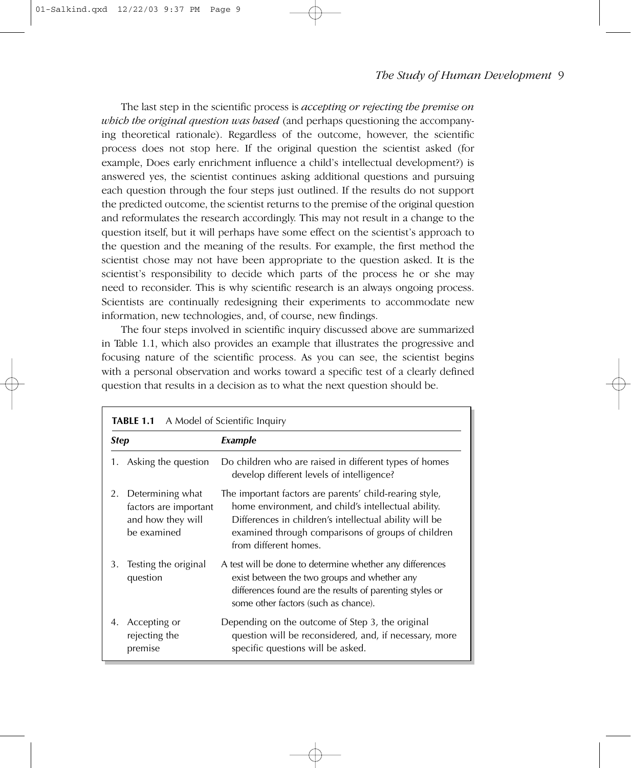The last step in the scientific process is *accepting or rejecting the premise on which the original question was based* (and perhaps questioning the accompanying theoretical rationale). Regardless of the outcome, however, the scientific process does not stop here. If the original question the scientist asked (for example, Does early enrichment influence a child's intellectual development?) is answered yes, the scientist continues asking additional questions and pursuing each question through the four steps just outlined. If the results do not support the predicted outcome, the scientist returns to the premise of the original question and reformulates the research accordingly. This may not result in a change to the question itself, but it will perhaps have some effect on the scientist's approach to the question and the meaning of the results. For example, the first method the scientist chose may not have been appropriate to the question asked. It is the scientist's responsibility to decide which parts of the process he or she may need to reconsider. This is why scientific research is an always ongoing process. Scientists are continually redesigning their experiments to accommodate new information, new technologies, and, of course, new findings.

The four steps involved in scientific inquiry discussed above are summarized in Table 1.1, which also provides an example that illustrates the progressive and focusing nature of the scientific process. As you can see, the scientist begins with a personal observation and works toward a specific test of a clearly defined question that results in a decision as to what the next question should be.

|             | <b>TABLE 1.1</b><br>A Model of Scientific Inquiry                             |                                                                                                                                                                                                                                                         |  |  |  |  |  |  |
|-------------|-------------------------------------------------------------------------------|---------------------------------------------------------------------------------------------------------------------------------------------------------------------------------------------------------------------------------------------------------|--|--|--|--|--|--|
| <b>Step</b> |                                                                               | <i>Example</i>                                                                                                                                                                                                                                          |  |  |  |  |  |  |
| 1.          | Asking the question                                                           | Do children who are raised in different types of homes<br>develop different levels of intelligence?                                                                                                                                                     |  |  |  |  |  |  |
| 2.          | Determining what<br>factors are important<br>and how they will<br>be examined | The important factors are parents' child-rearing style,<br>home environment, and child's intellectual ability.<br>Differences in children's intellectual ability will be<br>examined through comparisons of groups of children<br>from different homes. |  |  |  |  |  |  |
| 3.          | Testing the original<br>question                                              | A test will be done to determine whether any differences<br>exist between the two groups and whether any<br>differences found are the results of parenting styles or<br>some other factors (such as chance).                                            |  |  |  |  |  |  |
| 4.          | Accepting or<br>rejecting the<br>premise                                      | Depending on the outcome of Step 3, the original<br>question will be reconsidered, and, if necessary, more<br>specific questions will be asked.                                                                                                         |  |  |  |  |  |  |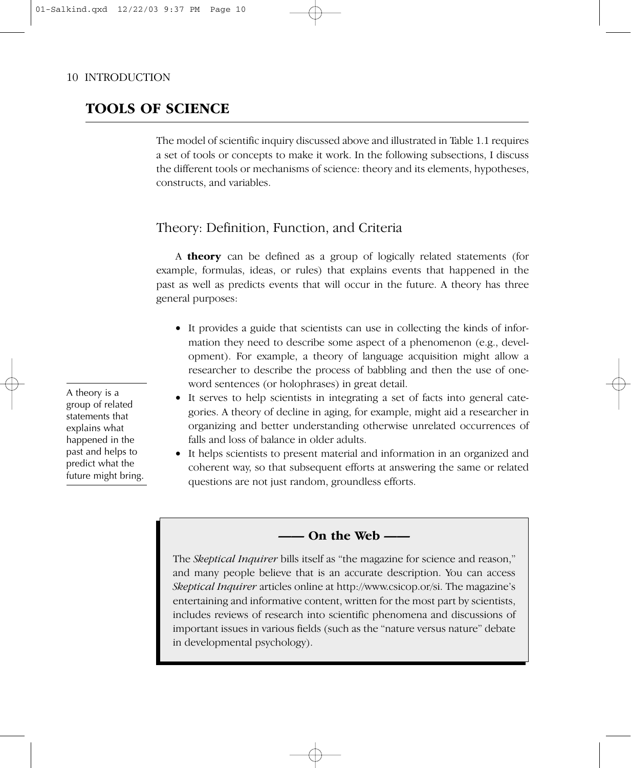# **TOOLS OF SCIENCE**

The model of scientific inquiry discussed above and illustrated in Table 1.1 requires a set of tools or concepts to make it work. In the following subsections, I discuss the different tools or mechanisms of science: theory and its elements, hypotheses, constructs, and variables.

#### Theory: Definition, Function, and Criteria

A **theory** can be defined as a group of logically related statements (for example, formulas, ideas, or rules) that explains events that happened in the past as well as predicts events that will occur in the future. A theory has three general purposes:

- It provides a guide that scientists can use in collecting the kinds of information they need to describe some aspect of a phenomenon (e.g., development). For example, a theory of language acquisition might allow a researcher to describe the process of babbling and then the use of oneword sentences (or holophrases) in great detail.
- It serves to help scientists in integrating a set of facts into general categories. A theory of decline in aging, for example, might aid a researcher in organizing and better understanding otherwise unrelated occurrences of falls and loss of balance in older adults.
- It helps scientists to present material and information in an organized and coherent way, so that subsequent efforts at answering the same or related questions are not just random, groundless efforts.

**—— On the Web ——**

The *Skeptical Inquirer* bills itself as "the magazine for science and reason," and many people believe that is an accurate description. You can access *Skeptical Inquirer* articles online at http://www.csicop.or/si. The magazine's entertaining and informative content, written for the most part by scientists, includes reviews of research into scientific phenomena and discussions of important issues in various fields (such as the "nature versus nature" debate in developmental psychology).

A theory is a group of related statements that explains what happened in the past and helps to predict what the future might bring.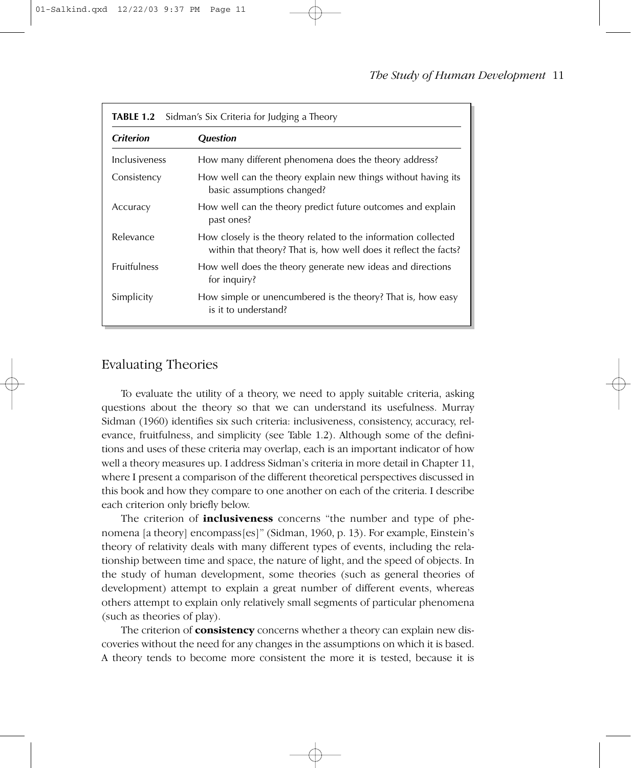| <b>TABLE 1.2</b><br>Sidman's Six Criteria for Judging a Theory |                                                                                                                                    |  |  |  |  |  |  |
|----------------------------------------------------------------|------------------------------------------------------------------------------------------------------------------------------------|--|--|--|--|--|--|
| <b>Criterion</b>                                               | <b>Ouestion</b>                                                                                                                    |  |  |  |  |  |  |
| Inclusiveness                                                  | How many different phenomena does the theory address?                                                                              |  |  |  |  |  |  |
| Consistency                                                    | How well can the theory explain new things without having its<br>basic assumptions changed?                                        |  |  |  |  |  |  |
| Accuracy                                                       | How well can the theory predict future outcomes and explain<br>past ones?                                                          |  |  |  |  |  |  |
| Relevance                                                      | How closely is the theory related to the information collected<br>within that theory? That is, how well does it reflect the facts? |  |  |  |  |  |  |
| <b>Fruitfulness</b>                                            | How well does the theory generate new ideas and directions<br>for inquiry?                                                         |  |  |  |  |  |  |
| Simplicity                                                     | How simple or unencumbered is the theory? That is, how easy<br>is it to understand?                                                |  |  |  |  |  |  |

# Evaluating Theories

To evaluate the utility of a theory, we need to apply suitable criteria, asking questions about the theory so that we can understand its usefulness. Murray Sidman (1960) identifies six such criteria: inclusiveness, consistency, accuracy, relevance, fruitfulness, and simplicity (see Table 1.2). Although some of the definitions and uses of these criteria may overlap, each is an important indicator of how well a theory measures up. I address Sidman's criteria in more detail in Chapter 11, where I present a comparison of the different theoretical perspectives discussed in this book and how they compare to one another on each of the criteria. I describe each criterion only briefly below.

The criterion of **inclusiveness** concerns "the number and type of phenomena [a theory] encompass[es]" (Sidman, 1960, p. 13). For example, Einstein's theory of relativity deals with many different types of events, including the relationship between time and space, the nature of light, and the speed of objects. In the study of human development, some theories (such as general theories of development) attempt to explain a great number of different events, whereas others attempt to explain only relatively small segments of particular phenomena (such as theories of play).

The criterion of **consistency** concerns whether a theory can explain new discoveries without the need for any changes in the assumptions on which it is based. A theory tends to become more consistent the more it is tested, because it is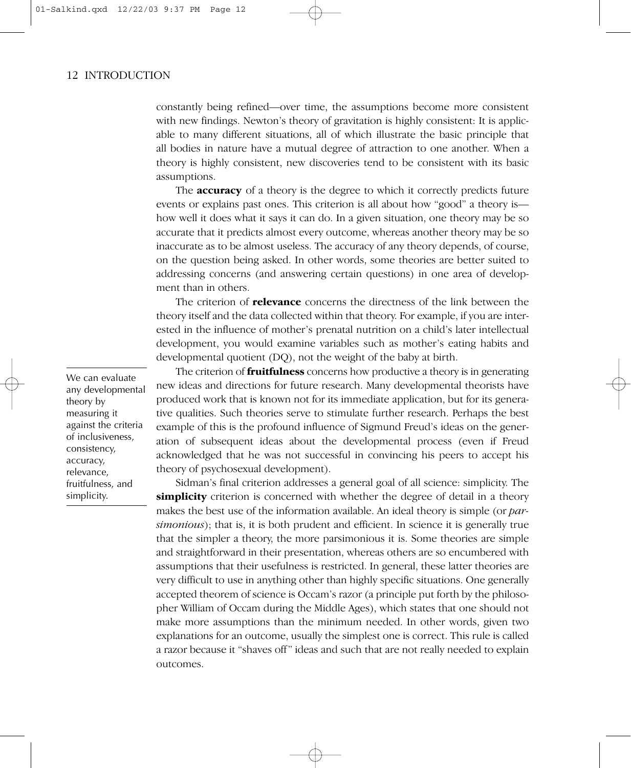constantly being refined—over time, the assumptions become more consistent with new findings. Newton's theory of gravitation is highly consistent: It is applicable to many different situations, all of which illustrate the basic principle that all bodies in nature have a mutual degree of attraction to one another. When a theory is highly consistent, new discoveries tend to be consistent with its basic assumptions.

The **accuracy** of a theory is the degree to which it correctly predicts future events or explains past ones. This criterion is all about how "good" a theory is how well it does what it says it can do. In a given situation, one theory may be so accurate that it predicts almost every outcome, whereas another theory may be so inaccurate as to be almost useless. The accuracy of any theory depends, of course, on the question being asked. In other words, some theories are better suited to addressing concerns (and answering certain questions) in one area of development than in others.

The criterion of **relevance** concerns the directness of the link between the theory itself and the data collected within that theory. For example, if you are interested in the influence of mother's prenatal nutrition on a child's later intellectual development, you would examine variables such as mother's eating habits and developmental quotient (DQ), not the weight of the baby at birth.

The criterion of **fruitfulness** concerns how productive a theory is in generating new ideas and directions for future research. Many developmental theorists have produced work that is known not for its immediate application, but for its generative qualities. Such theories serve to stimulate further research. Perhaps the best example of this is the profound influence of Sigmund Freud's ideas on the generation of subsequent ideas about the developmental process (even if Freud acknowledged that he was not successful in convincing his peers to accept his theory of psychosexual development).

Sidman's final criterion addresses a general goal of all science: simplicity. The **simplicity** criterion is concerned with whether the degree of detail in a theory makes the best use of the information available. An ideal theory is simple (or *parsimonious*); that is, it is both prudent and efficient. In science it is generally true that the simpler a theory, the more parsimonious it is. Some theories are simple and straightforward in their presentation, whereas others are so encumbered with assumptions that their usefulness is restricted. In general, these latter theories are very difficult to use in anything other than highly specific situations. One generally accepted theorem of science is Occam's razor (a principle put forth by the philosopher William of Occam during the Middle Ages), which states that one should not make more assumptions than the minimum needed. In other words, given two explanations for an outcome, usually the simplest one is correct. This rule is called a razor because it "shaves off" ideas and such that are not really needed to explain outcomes.

We can evaluate any developmental theory by measuring it against the criteria of inclusiveness, consistency, accuracy, relevance, fruitfulness, and simplicity.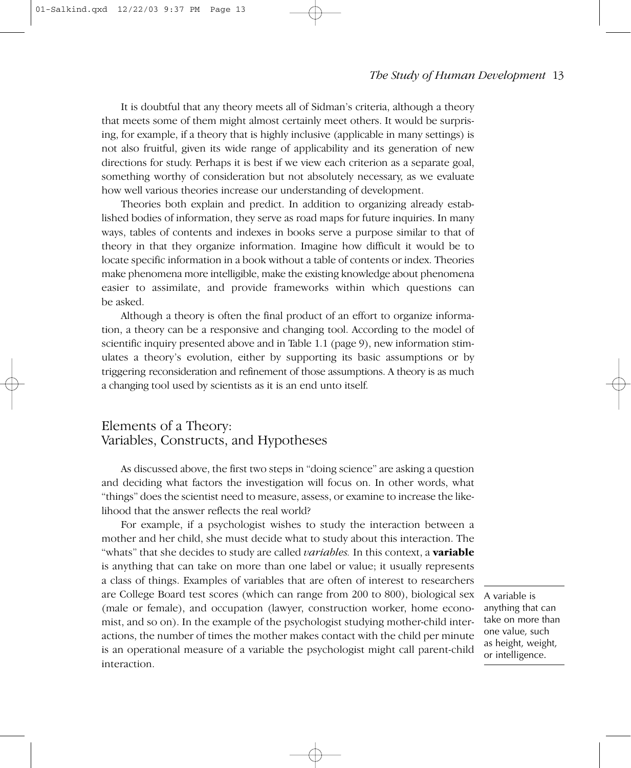It is doubtful that any theory meets all of Sidman's criteria, although a theory that meets some of them might almost certainly meet others. It would be surprising, for example, if a theory that is highly inclusive (applicable in many settings) is not also fruitful, given its wide range of applicability and its generation of new directions for study. Perhaps it is best if we view each criterion as a separate goal, something worthy of consideration but not absolutely necessary, as we evaluate how well various theories increase our understanding of development.

Theories both explain and predict. In addition to organizing already established bodies of information, they serve as road maps for future inquiries. In many ways, tables of contents and indexes in books serve a purpose similar to that of theory in that they organize information. Imagine how difficult it would be to locate specific information in a book without a table of contents or index. Theories make phenomena more intelligible, make the existing knowledge about phenomena easier to assimilate, and provide frameworks within which questions can be asked.

Although a theory is often the final product of an effort to organize information, a theory can be a responsive and changing tool. According to the model of scientific inquiry presented above and in Table 1.1 (page 9), new information stimulates a theory's evolution, either by supporting its basic assumptions or by triggering reconsideration and refinement of those assumptions. A theory is as much a changing tool used by scientists as it is an end unto itself.

# Elements of a Theory: Variables, Constructs, and Hypotheses

As discussed above, the first two steps in "doing science" are asking a question and deciding what factors the investigation will focus on. In other words, what "things" does the scientist need to measure, assess, or examine to increase the likelihood that the answer reflects the real world?

For example, if a psychologist wishes to study the interaction between a mother and her child, she must decide what to study about this interaction. The "whats" that she decides to study are called *variables.* In this context, a **variable** is anything that can take on more than one label or value; it usually represents a class of things. Examples of variables that are often of interest to researchers are College Board test scores (which can range from 200 to 800), biological sex (male or female), and occupation (lawyer, construction worker, home economist, and so on). In the example of the psychologist studying mother-child interactions, the number of times the mother makes contact with the child per minute is an operational measure of a variable the psychologist might call parent-child interaction.

A variable is anything that can take on more than one value, such as height, weight, or intelligence.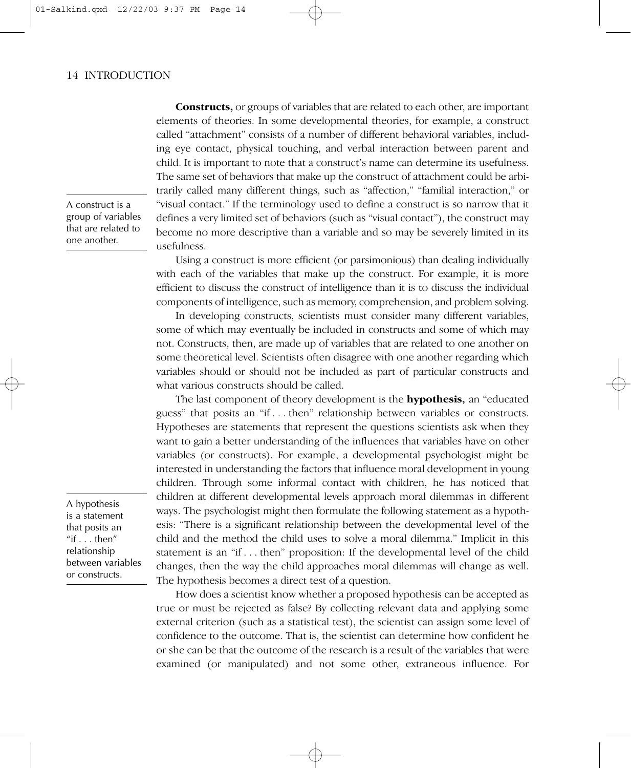A construct is a group of variables that are related to one another.

**Constructs,** or groups of variables that are related to each other, are important elements of theories. In some developmental theories, for example, a construct called "attachment" consists of a number of different behavioral variables, including eye contact, physical touching, and verbal interaction between parent and child. It is important to note that a construct's name can determine its usefulness. The same set of behaviors that make up the construct of attachment could be arbitrarily called many different things, such as "affection," "familial interaction," or "visual contact." If the terminology used to define a construct is so narrow that it defines a very limited set of behaviors (such as "visual contact"), the construct may become no more descriptive than a variable and so may be severely limited in its usefulness.

Using a construct is more efficient (or parsimonious) than dealing individually with each of the variables that make up the construct. For example, it is more efficient to discuss the construct of intelligence than it is to discuss the individual components of intelligence, such as memory, comprehension, and problem solving.

In developing constructs, scientists must consider many different variables, some of which may eventually be included in constructs and some of which may not. Constructs, then, are made up of variables that are related to one another on some theoretical level. Scientists often disagree with one another regarding which variables should or should not be included as part of particular constructs and what various constructs should be called.

The last component of theory development is the **hypothesis,** an "educated guess" that posits an "if... then" relationship between variables or constructs. Hypotheses are statements that represent the questions scientists ask when they want to gain a better understanding of the influences that variables have on other variables (or constructs). For example, a developmental psychologist might be interested in understanding the factors that influence moral development in young children. Through some informal contact with children, he has noticed that children at different developmental levels approach moral dilemmas in different ways. The psychologist might then formulate the following statement as a hypothesis: "There is a significant relationship between the developmental level of the child and the method the child uses to solve a moral dilemma." Implicit in this statement is an "if... then" proposition: If the developmental level of the child changes, then the way the child approaches moral dilemmas will change as well. The hypothesis becomes a direct test of a question.

How does a scientist know whether a proposed hypothesis can be accepted as true or must be rejected as false? By collecting relevant data and applying some external criterion (such as a statistical test), the scientist can assign some level of confidence to the outcome. That is, the scientist can determine how confident he or she can be that the outcome of the research is a result of the variables that were examined (or manipulated) and not some other, extraneous influence. For

A hypothesis is a statement that posits an "if  $\ldots$  then" relationship between variables or constructs.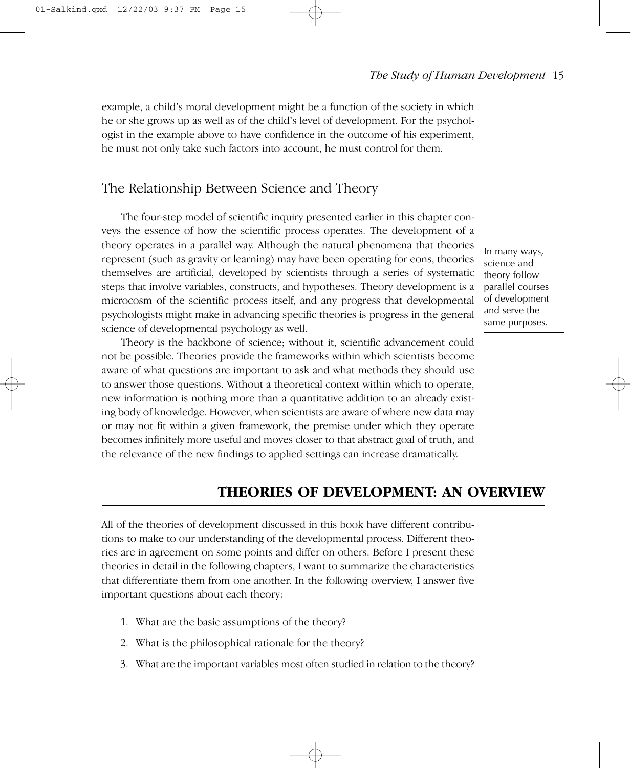example, a child's moral development might be a function of the society in which he or she grows up as well as of the child's level of development. For the psychologist in the example above to have confidence in the outcome of his experiment, he must not only take such factors into account, he must control for them.

# The Relationship Between Science and Theory

The four-step model of scientific inquiry presented earlier in this chapter conveys the essence of how the scientific process operates. The development of a theory operates in a parallel way. Although the natural phenomena that theories represent (such as gravity or learning) may have been operating for eons, theories themselves are artificial, developed by scientists through a series of systematic steps that involve variables, constructs, and hypotheses. Theory development is a microcosm of the scientific process itself, and any progress that developmental psychologists might make in advancing specific theories is progress in the general science of developmental psychology as well.

Theory is the backbone of science; without it, scientific advancement could not be possible. Theories provide the frameworks within which scientists become aware of what questions are important to ask and what methods they should use to answer those questions. Without a theoretical context within which to operate, new information is nothing more than a quantitative addition to an already existing body of knowledge. However, when scientists are aware of where new data may or may not fit within a given framework, the premise under which they operate becomes infinitely more useful and moves closer to that abstract goal of truth, and the relevance of the new findings to applied settings can increase dramatically.

In many ways, science and theory follow parallel courses of development and serve the same purposes.

# **THEORIES OF DEVELOPMENT: AN OVERVIEW**

All of the theories of development discussed in this book have different contributions to make to our understanding of the developmental process. Different theories are in agreement on some points and differ on others. Before I present these theories in detail in the following chapters, I want to summarize the characteristics that differentiate them from one another. In the following overview, I answer five important questions about each theory:

- 1. What are the basic assumptions of the theory?
- 2. What is the philosophical rationale for the theory?
- 3. What are the important variables most often studied in relation to the theory?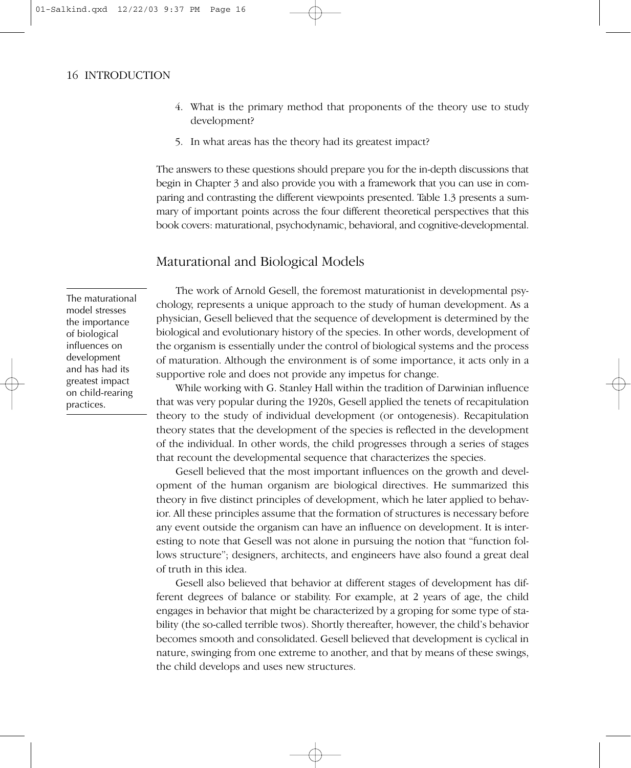- 4. What is the primary method that proponents of the theory use to study development?
- 5. In what areas has the theory had its greatest impact?

The answers to these questions should prepare you for the in-depth discussions that begin in Chapter 3 and also provide you with a framework that you can use in comparing and contrasting the different viewpoints presented. Table 1.3 presents a summary of important points across the four different theoretical perspectives that this book covers: maturational, psychodynamic, behavioral, and cognitive-developmental.

#### Maturational and Biological Models

The maturational model stresses the importance of biological influences on development and has had its greatest impact on child-rearing practices.

The work of Arnold Gesell, the foremost maturationist in developmental psychology, represents a unique approach to the study of human development. As a physician, Gesell believed that the sequence of development is determined by the biological and evolutionary history of the species. In other words, development of the organism is essentially under the control of biological systems and the process of maturation. Although the environment is of some importance, it acts only in a supportive role and does not provide any impetus for change.

While working with G. Stanley Hall within the tradition of Darwinian influence that was very popular during the 1920s, Gesell applied the tenets of recapitulation theory to the study of individual development (or ontogenesis). Recapitulation theory states that the development of the species is reflected in the development of the individual. In other words, the child progresses through a series of stages that recount the developmental sequence that characterizes the species.

Gesell believed that the most important influences on the growth and development of the human organism are biological directives. He summarized this theory in five distinct principles of development, which he later applied to behavior. All these principles assume that the formation of structures is necessary before any event outside the organism can have an influence on development. It is interesting to note that Gesell was not alone in pursuing the notion that "function follows structure"; designers, architects, and engineers have also found a great deal of truth in this idea.

Gesell also believed that behavior at different stages of development has different degrees of balance or stability. For example, at 2 years of age, the child engages in behavior that might be characterized by a groping for some type of stability (the so-called terrible twos). Shortly thereafter, however, the child's behavior becomes smooth and consolidated. Gesell believed that development is cyclical in nature, swinging from one extreme to another, and that by means of these swings, the child develops and uses new structures.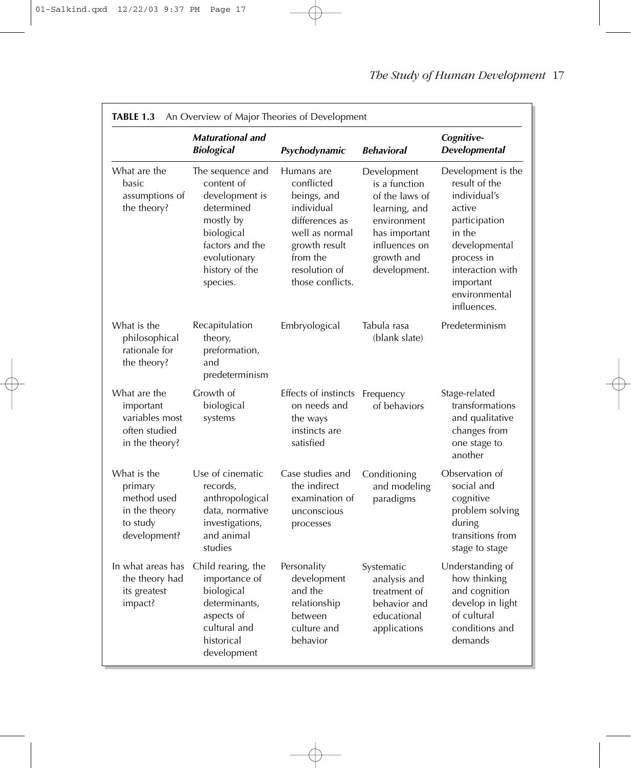| <b>TABLE 1.3</b><br>An Overview of Major Theories of Development                   |                                                                                                                                                            |                                                                                                                                                             |                                                                                                                                                |                                                                                                                                                                                          |  |  |  |
|------------------------------------------------------------------------------------|------------------------------------------------------------------------------------------------------------------------------------------------------------|-------------------------------------------------------------------------------------------------------------------------------------------------------------|------------------------------------------------------------------------------------------------------------------------------------------------|------------------------------------------------------------------------------------------------------------------------------------------------------------------------------------------|--|--|--|
|                                                                                    | <b>Maturational and</b><br><b>Biological</b>                                                                                                               | Psychodynamic                                                                                                                                               | <b>Behavioral</b>                                                                                                                              | Cognitive-<br><b>Developmental</b>                                                                                                                                                       |  |  |  |
| What are the<br>basic<br>assumptions of<br>the theory?                             | The sequence and<br>content of<br>development is<br>determined<br>mostly by<br>biological<br>factors and the<br>evolutionary<br>history of the<br>species. | Humans are<br>conflicted<br>beings, and<br>individual<br>differences as<br>well as normal<br>growth result<br>from the<br>resolution of<br>those conflicts. | Development<br>is a function<br>of the laws of<br>learning, and<br>environment<br>has important<br>influences on<br>growth and<br>development. | Development is the<br>result of the<br>individual's<br>active<br>participation<br>in the<br>developmental<br>process in<br>interaction with<br>important<br>environmental<br>influences. |  |  |  |
| What is the<br>philosophical<br>rationale for<br>the theory?                       | Recapitulation<br>theory,<br>preformation,<br>and<br>predeterminism                                                                                        | Embryological                                                                                                                                               | Tabula rasa<br>(blank slate)                                                                                                                   | Predeterminism                                                                                                                                                                           |  |  |  |
| What are the<br>important<br>variables most<br>often studied<br>in the theory?     | Growth of<br>biological<br>systems                                                                                                                         | Effects of instincts Frequency<br>on needs and<br>the ways<br>instincts are<br>satisfied                                                                    | of behaviors                                                                                                                                   | Stage-related<br>transformations<br>and qualitative<br>changes from<br>one stage to<br>another                                                                                           |  |  |  |
| What is the<br>primary<br>method used<br>in the theory<br>to study<br>development? | Use of cinematic<br>records,<br>anthropological<br>data, normative<br>investigations,<br>and animal<br>studies                                             | Case studies and<br>the indirect<br>examination of<br>unconscious<br>processes                                                                              | Conditioning<br>and modeling<br>paradigms                                                                                                      | Observation of<br>social and<br>cognitive<br>problem solving<br>during<br>transitions from<br>stage to stage                                                                             |  |  |  |
| In what areas has<br>the theory had<br>its greatest<br>impact?                     | Child rearing, the<br>importance of<br>biological<br>determinants,<br>aspects of<br>cultural and<br>historical<br>development                              | Personality<br>development<br>and the<br>relationship<br>between<br>culture and<br>behavior                                                                 | Systematic<br>analysis and<br>treatment of<br>behavior and<br>educational<br>applications                                                      | Understanding of<br>how thinking<br>and cognition<br>develop in light<br>of cultural<br>conditions and<br>demands                                                                        |  |  |  |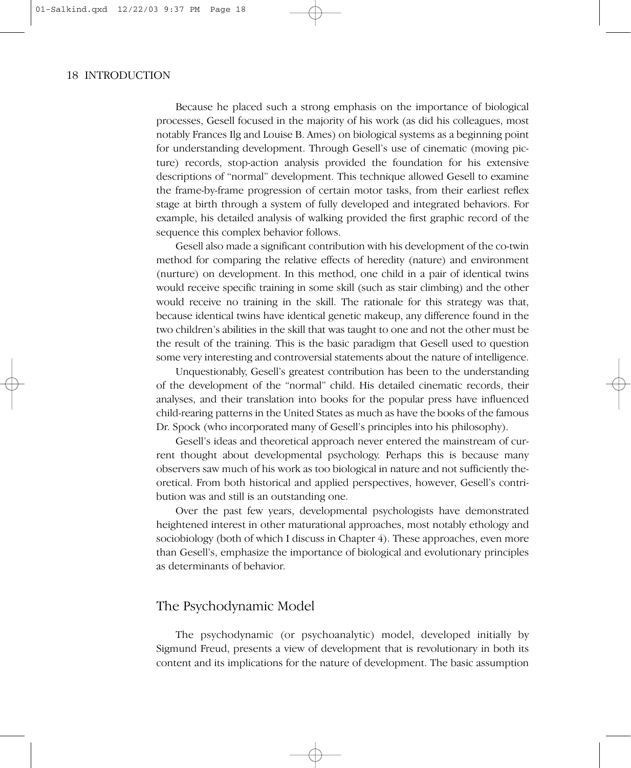Because he placed such a strong emphasis on the importance of biological processes, Gesell focused in the majority of his work (as did his colleagues, most notably Frances Ilg and Louise B. Ames) on biological systems as a beginning point for understanding development. Through Gesell's use of cinematic (moving picture) records, stop-action analysis provided the foundation for his extensive descriptions of "normal" development. This technique allowed Gesell to examine the frame-by-frame progression of certain motor tasks, from their earliest reflex stage at birth through a system of fully developed and integrated behaviors. For example, his detailed analysis of walking provided the first graphic record of the sequence this complex behavior follows.

Gesell also made a significant contribution with his development of the co-twin method for comparing the relative effects of heredity (nature) and environment (nurture) on development. In this method, one child in a pair of identical twins would receive specific training in some skill (such as stair climbing) and the other would receive no training in the skill. The rationale for this strategy was that, because identical twins have identical genetic makeup, any difference found in the two children's abilities in the skill that was taught to one and not the other must be the result of the training. This is the basic paradigm that Gesell used to question some very interesting and controversial statements about the nature of intelligence.

Unquestionably, Gesell's greatest contribution has been to the understanding of the development of the "normal" child. His detailed cinematic records, their analyses, and their translation into books for the popular press have influenced child-rearing patterns in the United States as much as have the books of the famous Dr. Spock (who incorporated many of Gesell's principles into his philosophy).

Gesell's ideas and theoretical approach never entered the mainstream of current thought about developmental psychology. Perhaps this is because many observers saw much of his work as too biological in nature and not sufficiently theoretical. From both historical and applied perspectives, however, Gesell's contribution was and still is an outstanding one.

Over the past few years, developmental psychologists have demonstrated heightened interest in other maturational approaches, most notably ethology and sociobiology (both of which I discuss in Chapter 4). These approaches, even more than Gesell's, emphasize the importance of biological and evolutionary principles as determinants of behavior.

# The Psychodynamic Model

The psychodynamic (or psychoanalytic) model, developed initially by Sigmund Freud, presents a view of development that is revolutionary in both its content and its implications for the nature of development. The basic assumption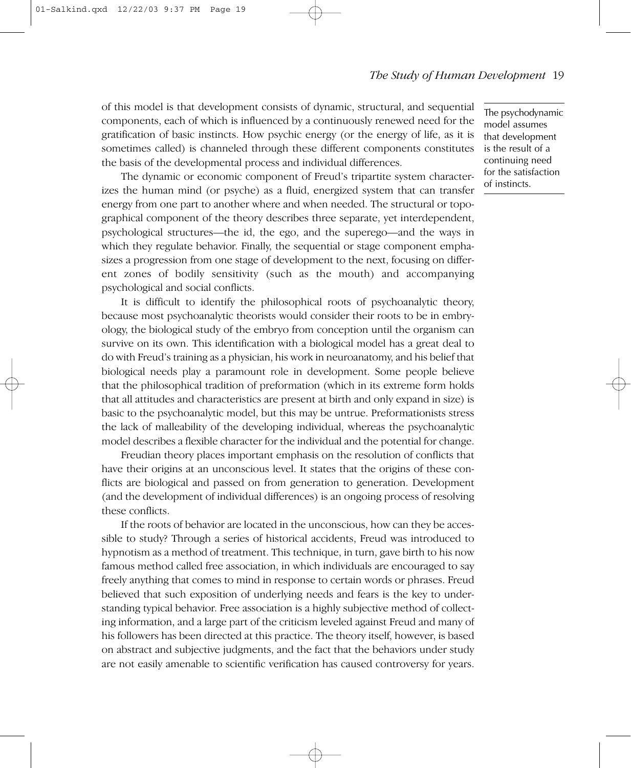of this model is that development consists of dynamic, structural, and sequential components, each of which is influenced by a continuously renewed need for the gratification of basic instincts. How psychic energy (or the energy of life, as it is sometimes called) is channeled through these different components constitutes the basis of the developmental process and individual differences.

The dynamic or economic component of Freud's tripartite system characterizes the human mind (or psyche) as a fluid, energized system that can transfer energy from one part to another where and when needed. The structural or topographical component of the theory describes three separate, yet interdependent, psychological structures—the id, the ego, and the superego—and the ways in which they regulate behavior. Finally, the sequential or stage component emphasizes a progression from one stage of development to the next, focusing on different zones of bodily sensitivity (such as the mouth) and accompanying psychological and social conflicts.

It is difficult to identify the philosophical roots of psychoanalytic theory, because most psychoanalytic theorists would consider their roots to be in embryology, the biological study of the embryo from conception until the organism can survive on its own. This identification with a biological model has a great deal to do with Freud's training as a physician, his work in neuroanatomy, and his belief that biological needs play a paramount role in development. Some people believe that the philosophical tradition of preformation (which in its extreme form holds that all attitudes and characteristics are present at birth and only expand in size) is basic to the psychoanalytic model, but this may be untrue. Preformationists stress the lack of malleability of the developing individual, whereas the psychoanalytic model describes a flexible character for the individual and the potential for change.

Freudian theory places important emphasis on the resolution of conflicts that have their origins at an unconscious level. It states that the origins of these conflicts are biological and passed on from generation to generation. Development (and the development of individual differences) is an ongoing process of resolving these conflicts.

If the roots of behavior are located in the unconscious, how can they be accessible to study? Through a series of historical accidents, Freud was introduced to hypnotism as a method of treatment. This technique, in turn, gave birth to his now famous method called free association, in which individuals are encouraged to say freely anything that comes to mind in response to certain words or phrases. Freud believed that such exposition of underlying needs and fears is the key to understanding typical behavior. Free association is a highly subjective method of collecting information, and a large part of the criticism leveled against Freud and many of his followers has been directed at this practice. The theory itself, however, is based on abstract and subjective judgments, and the fact that the behaviors under study are not easily amenable to scientific verification has caused controversy for years.

The psychodynamic model assumes that development is the result of a continuing need for the satisfaction of instincts.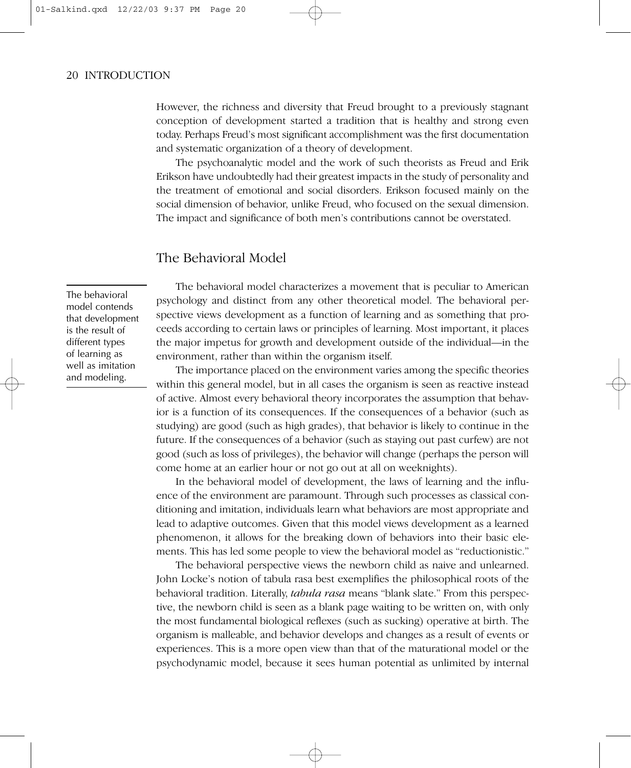However, the richness and diversity that Freud brought to a previously stagnant conception of development started a tradition that is healthy and strong even today. Perhaps Freud's most significant accomplishment was the first documentation and systematic organization of a theory of development.

The psychoanalytic model and the work of such theorists as Freud and Erik Erikson have undoubtedly had their greatest impacts in the study of personality and the treatment of emotional and social disorders. Erikson focused mainly on the social dimension of behavior, unlike Freud, who focused on the sexual dimension. The impact and significance of both men's contributions cannot be overstated.

# The Behavioral Model

The behavioral model contends that development is the result of different types of learning as well as imitation and modeling.

The behavioral model characterizes a movement that is peculiar to American psychology and distinct from any other theoretical model. The behavioral perspective views development as a function of learning and as something that proceeds according to certain laws or principles of learning. Most important, it places the major impetus for growth and development outside of the individual—in the environment, rather than within the organism itself.

The importance placed on the environment varies among the specific theories within this general model, but in all cases the organism is seen as reactive instead of active. Almost every behavioral theory incorporates the assumption that behavior is a function of its consequences. If the consequences of a behavior (such as studying) are good (such as high grades), that behavior is likely to continue in the future. If the consequences of a behavior (such as staying out past curfew) are not good (such as loss of privileges), the behavior will change (perhaps the person will come home at an earlier hour or not go out at all on weeknights).

In the behavioral model of development, the laws of learning and the influence of the environment are paramount. Through such processes as classical conditioning and imitation, individuals learn what behaviors are most appropriate and lead to adaptive outcomes. Given that this model views development as a learned phenomenon, it allows for the breaking down of behaviors into their basic elements. This has led some people to view the behavioral model as "reductionistic."

The behavioral perspective views the newborn child as naive and unlearned. John Locke's notion of tabula rasa best exemplifies the philosophical roots of the behavioral tradition. Literally, *tabula rasa* means "blank slate." From this perspective, the newborn child is seen as a blank page waiting to be written on, with only the most fundamental biological reflexes (such as sucking) operative at birth. The organism is malleable, and behavior develops and changes as a result of events or experiences. This is a more open view than that of the maturational model or the psychodynamic model, because it sees human potential as unlimited by internal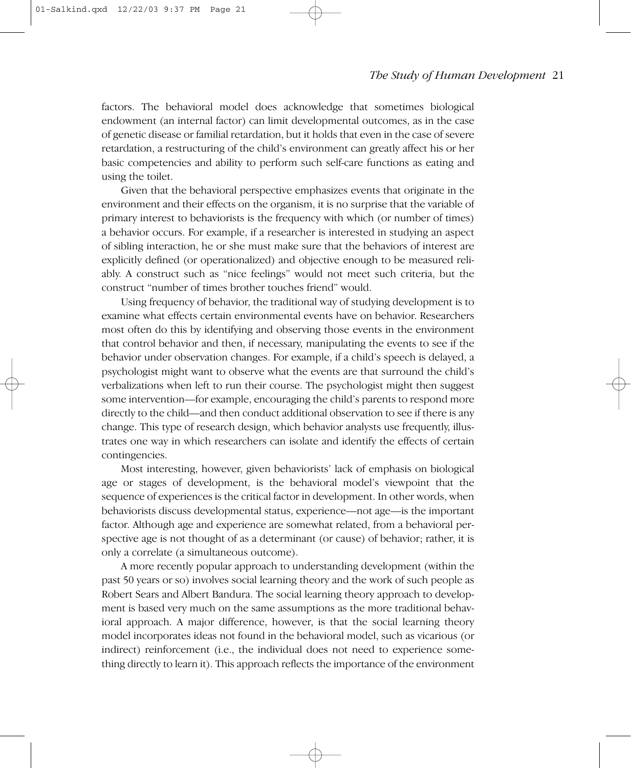factors. The behavioral model does acknowledge that sometimes biological endowment (an internal factor) can limit developmental outcomes, as in the case of genetic disease or familial retardation, but it holds that even in the case of severe retardation, a restructuring of the child's environment can greatly affect his or her basic competencies and ability to perform such self-care functions as eating and using the toilet.

Given that the behavioral perspective emphasizes events that originate in the environment and their effects on the organism, it is no surprise that the variable of primary interest to behaviorists is the frequency with which (or number of times) a behavior occurs. For example, if a researcher is interested in studying an aspect of sibling interaction, he or she must make sure that the behaviors of interest are explicitly defined (or operationalized) and objective enough to be measured reliably. A construct such as "nice feelings" would not meet such criteria, but the construct "number of times brother touches friend" would.

Using frequency of behavior, the traditional way of studying development is to examine what effects certain environmental events have on behavior. Researchers most often do this by identifying and observing those events in the environment that control behavior and then, if necessary, manipulating the events to see if the behavior under observation changes. For example, if a child's speech is delayed, a psychologist might want to observe what the events are that surround the child's verbalizations when left to run their course. The psychologist might then suggest some intervention—for example, encouraging the child's parents to respond more directly to the child—and then conduct additional observation to see if there is any change. This type of research design, which behavior analysts use frequently, illustrates one way in which researchers can isolate and identify the effects of certain contingencies.

Most interesting, however, given behaviorists' lack of emphasis on biological age or stages of development, is the behavioral model's viewpoint that the sequence of experiences is the critical factor in development. In other words, when behaviorists discuss developmental status, experience—not age—is the important factor. Although age and experience are somewhat related, from a behavioral perspective age is not thought of as a determinant (or cause) of behavior; rather, it is only a correlate (a simultaneous outcome).

A more recently popular approach to understanding development (within the past 50 years or so) involves social learning theory and the work of such people as Robert Sears and Albert Bandura. The social learning theory approach to development is based very much on the same assumptions as the more traditional behavioral approach. A major difference, however, is that the social learning theory model incorporates ideas not found in the behavioral model, such as vicarious (or indirect) reinforcement (i.e., the individual does not need to experience something directly to learn it). This approach reflects the importance of the environment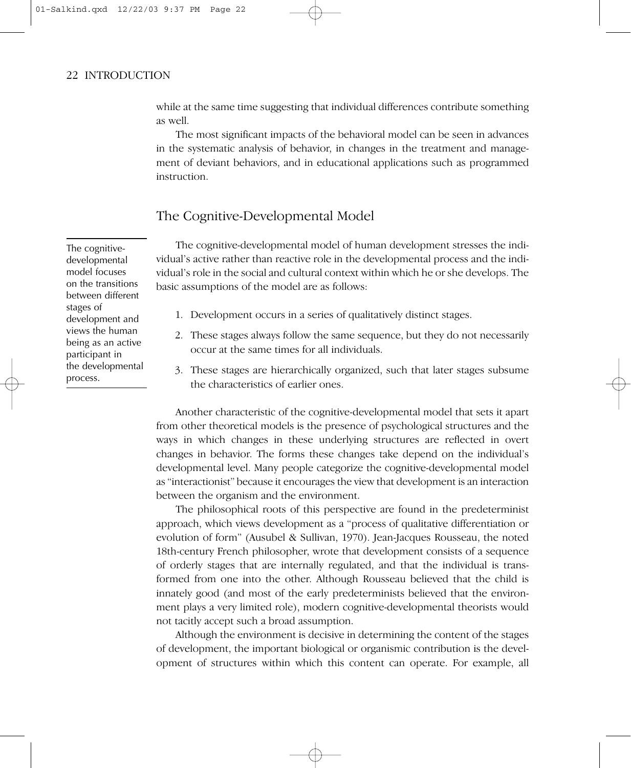while at the same time suggesting that individual differences contribute something as well.

The most significant impacts of the behavioral model can be seen in advances in the systematic analysis of behavior, in changes in the treatment and management of deviant behaviors, and in educational applications such as programmed instruction.

# The Cognitive-Developmental Model

The cognitive-developmental model of human development stresses the individual's active rather than reactive role in the developmental process and the individual's role in the social and cultural context within which he or she develops. The basic assumptions of the model are as follows:

- 1. Development occurs in a series of qualitatively distinct stages.
- 2. These stages always follow the same sequence, but they do not necessarily occur at the same times for all individuals.
- 3. These stages are hierarchically organized, such that later stages subsume the characteristics of earlier ones.

Another characteristic of the cognitive-developmental model that sets it apart from other theoretical models is the presence of psychological structures and the ways in which changes in these underlying structures are reflected in overt changes in behavior. The forms these changes take depend on the individual's developmental level. Many people categorize the cognitive-developmental model as "interactionist" because it encourages the view that development is an interaction between the organism and the environment.

The philosophical roots of this perspective are found in the predeterminist approach, which views development as a "process of qualitative differentiation or evolution of form" (Ausubel & Sullivan, 1970). Jean-Jacques Rousseau, the noted 18th-century French philosopher, wrote that development consists of a sequence of orderly stages that are internally regulated, and that the individual is transformed from one into the other. Although Rousseau believed that the child is innately good (and most of the early predeterminists believed that the environment plays a very limited role), modern cognitive-developmental theorists would not tacitly accept such a broad assumption.

Although the environment is decisive in determining the content of the stages of development, the important biological or organismic contribution is the development of structures within which this content can operate. For example, all

The cognitivedevelopmental model focuses on the transitions between different stages of development and views the human being as an active participant in the developmental process.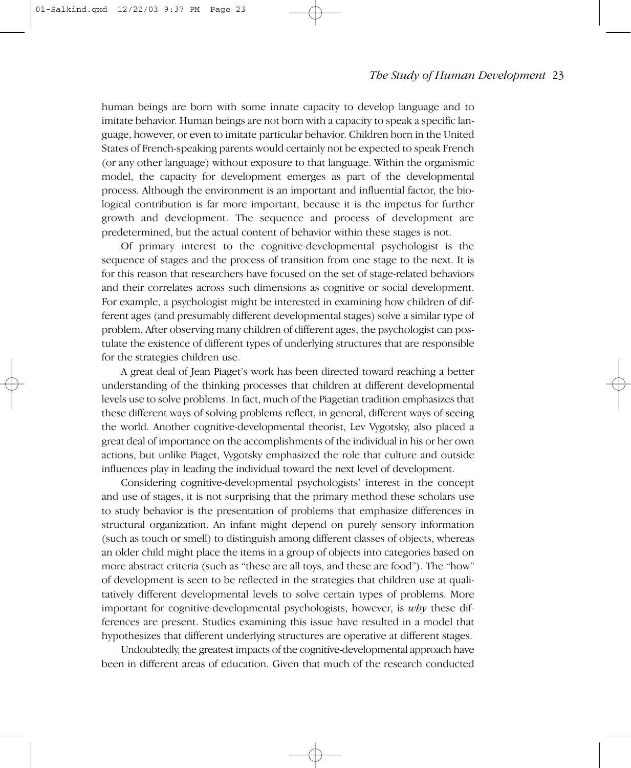human beings are born with some innate capacity to develop language and to imitate behavior. Human beings are not born with a capacity to speak a specific language, however, or even to imitate particular behavior. Children born in the United States of French-speaking parents would certainly not be expected to speak French (or any other language) without exposure to that language. Within the organismic model, the capacity for development emerges as part of the developmental process. Although the environment is an important and influential factor, the biological contribution is far more important, because it is the impetus for further growth and development. The sequence and process of development are predetermined, but the actual content of behavior within these stages is not.

Of primary interest to the cognitive-developmental psychologist is the sequence of stages and the process of transition from one stage to the next. It is for this reason that researchers have focused on the set of stage-related behaviors and their correlates across such dimensions as cognitive or social development. For example, a psychologist might be interested in examining how children of different ages (and presumably different developmental stages) solve a similar type of problem. After observing many children of different ages, the psychologist can postulate the existence of different types of underlying structures that are responsible for the strategies children use.

A great deal of Jean Piaget's work has been directed toward reaching a better understanding of the thinking processes that children at different developmental levels use to solve problems. In fact, much of the Piagetian tradition emphasizes that these different ways of solving problems reflect, in general, different ways of seeing the world. Another cognitive-developmental theorist, Lev Vygotsky, also placed a great deal of importance on the accomplishments of the individual in his or her own actions, but unlike Piaget, Vygotsky emphasized the role that culture and outside influences play in leading the individual toward the next level of development.

Considering cognitive-developmental psychologists' interest in the concept and use of stages, it is not surprising that the primary method these scholars use to study behavior is the presentation of problems that emphasize differences in structural organization. An infant might depend on purely sensory information (such as touch or smell) to distinguish among different classes of objects, whereas an older child might place the items in a group of objects into categories based on more abstract criteria (such as "these are all toys, and these are food"). The "how" of development is seen to be reflected in the strategies that children use at qualitatively different developmental levels to solve certain types of problems. More important for cognitive-developmental psychologists, however, is *why* these differences are present. Studies examining this issue have resulted in a model that hypothesizes that different underlying structures are operative at different stages.

Undoubtedly, the greatest impacts of the cognitive-developmental approach have been in different areas of education. Given that much of the research conducted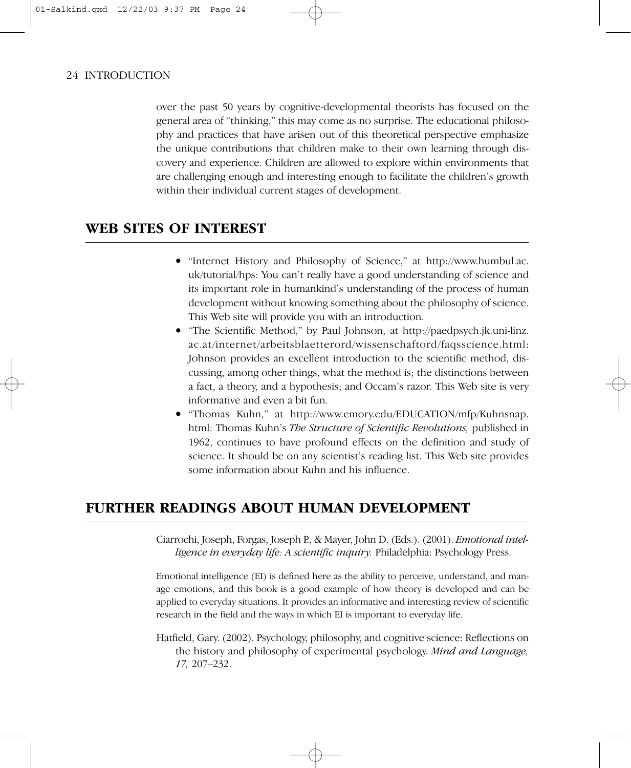over the past 50 years by cognitive-developmental theorists has focused on the general area of "thinking," this may come as no surprise. The educational philosophy and practices that have arisen out of this theoretical perspective emphasize the unique contributions that children make to their own learning through discovery and experience. Children are allowed to explore within environments that are challenging enough and interesting enough to facilitate the children's growth within their individual current stages of development.

# **WEB SITES OF INTEREST**

- "Internet History and Philosophy of Science," at http://www.humbul.ac. uk/tutorial/hps: You can't really have a good understanding of science and its important role in humankind's understanding of the process of human development without knowing something about the philosophy of science. This Web site will provide you with an introduction.
- "The Scientific Method," by Paul Johnson, at http://paedpsych.jk.uni-linz. ac.at/internet/arbeitsblaetterord/wissenschaftord/faqsscience.html: Johnson provides an excellent introduction to the scientific method, discussing, among other things, what the method is; the distinctions between a fact, a theory, and a hypothesis; and Occam's razor. This Web site is very informative and even a bit fun.
- "Thomas Kuhn," at http://www.emory.edu/EDUCATION/mfp/Kuhnsnap. html: Thomas Kuhn's *The Structure of Scientific Revolutions,* published in 1962, continues to have profound effects on the definition and study of science. It should be on any scientist's reading list. This Web site provides some information about Kuhn and his influence.

# **FURTHER READINGS ABOUT HUMAN DEVELOPMENT**

Ciarrochi, Joseph, Forgas, Joseph P., & Mayer, John D. (Eds.). (2001). *Emotional intelligence in everyday life: A scientific inquiry.* Philadelphia: Psychology Press.

Emotional intelligence (EI) is defined here as the ability to perceive, understand, and manage emotions, and this book is a good example of how theory is developed and can be applied to everyday situations. It provides an informative and interesting review of scientific research in the field and the ways in which EI is important to everyday life.

Hatfield, Gary. (2002). Psychology, philosophy, and cognitive science: Reflections on the history and philosophy of experimental psychology. *Mind and Language, 17,* 207–232.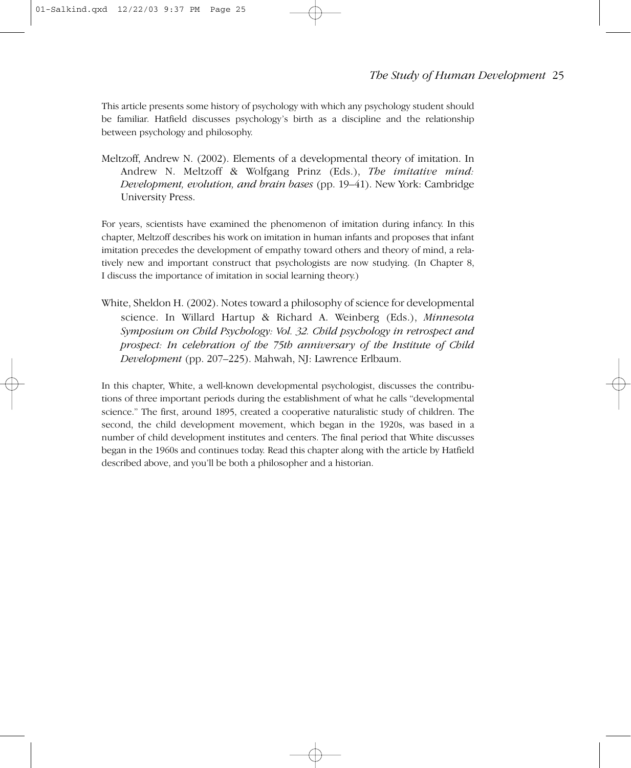This article presents some history of psychology with which any psychology student should be familiar. Hatfield discusses psychology's birth as a discipline and the relationship between psychology and philosophy.

Meltzoff, Andrew N. (2002). Elements of a developmental theory of imitation. In Andrew N. Meltzoff & Wolfgang Prinz (Eds.), *The imitative mind: Development, evolution, and brain bases* (pp. 19–41). New York: Cambridge University Press.

For years, scientists have examined the phenomenon of imitation during infancy. In this chapter, Meltzoff describes his work on imitation in human infants and proposes that infant imitation precedes the development of empathy toward others and theory of mind, a relatively new and important construct that psychologists are now studying. (In Chapter 8, I discuss the importance of imitation in social learning theory.)

White, Sheldon H. (2002). Notes toward a philosophy of science for developmental science. In Willard Hartup & Richard A. Weinberg (Eds.), *Minnesota Symposium on Child Psychology: Vol. 32. Child psychology in retrospect and prospect: In celebration of the 75th anniversary of the Institute of Child Development* (pp. 207–225). Mahwah, NJ: Lawrence Erlbaum.

In this chapter, White, a well-known developmental psychologist, discusses the contributions of three important periods during the establishment of what he calls "developmental science." The first, around 1895, created a cooperative naturalistic study of children. The second, the child development movement, which began in the 1920s, was based in a number of child development institutes and centers. The final period that White discusses began in the 1960s and continues today. Read this chapter along with the article by Hatfield described above, and you'll be both a philosopher and a historian.